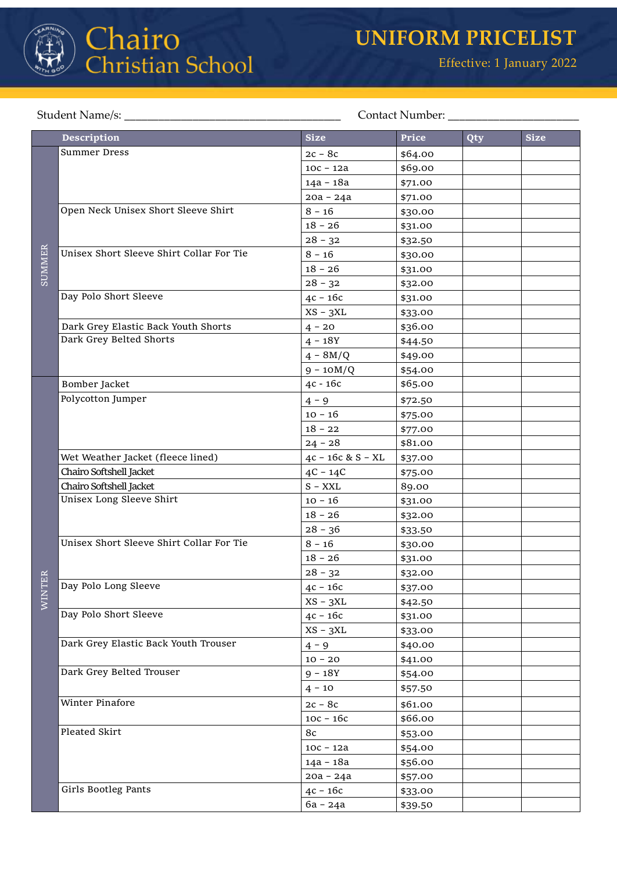

## Chairo<br>Christian School

## Student Name/s: \_\_\_\_\_\_\_\_\_\_\_\_\_\_\_\_\_\_\_\_\_\_\_\_\_\_\_\_\_\_\_\_\_\_\_\_\_\_ Contact Number: \_\_\_\_\_\_\_\_\_\_\_\_\_\_\_\_\_\_\_\_\_\_\_

|            | <b>Description</b>                       | <b>Size</b>         | Price   | Qty | <b>Size</b> |
|------------|------------------------------------------|---------------------|---------|-----|-------------|
|            | <b>Summer Dress</b>                      | $2c - 8c$           | \$64.00 |     |             |
|            |                                          | $10c - 12a$         | \$69.00 |     |             |
|            |                                          | $14a - 18a$         | \$71.00 |     |             |
|            |                                          | $20a - 24a$         | \$71.00 |     |             |
| SUMMER     | Open Neck Unisex Short Sleeve Shirt      | $8 - 16$            | \$30.00 |     |             |
|            |                                          | $18 - 26$           | \$31.00 |     |             |
|            |                                          | $28 - 32$           | \$32.50 |     |             |
|            | Unisex Short Sleeve Shirt Collar For Tie | $8 - 16$            | \$30.00 |     |             |
|            |                                          | $18 - 26$           | \$31.00 |     |             |
|            |                                          | $28 - 32$           | \$32.00 |     |             |
|            | Day Polo Short Sleeve                    | $4c - 16c$          | \$31.00 |     |             |
|            |                                          | $XS - 3XL$          | \$33.00 |     |             |
|            | Dark Grey Elastic Back Youth Shorts      | $4 - 20$            | \$36.00 |     |             |
|            | Dark Grey Belted Shorts                  | $4 - 18Y$           | \$44.50 |     |             |
|            |                                          | $4 - 8M/Q$          | \$49.00 |     |             |
|            |                                          | $9 - 10M/Q$         | \$54.00 |     |             |
|            | Bomber Jacket                            | 4c - 16c            | \$65.00 |     |             |
|            | Polycotton Jumper                        | $4 - 9$             | \$72.50 |     |             |
|            |                                          | $10 - 16$           | \$75.00 |     |             |
|            |                                          | $18 - 22$           | \$77.00 |     |             |
|            |                                          | $24 - 28$           | \$81.00 |     |             |
|            | Wet Weather Jacket (fleece lined)        | $4c - 16c & S - XL$ | \$37.00 |     |             |
|            | Chairo Softshell Jacket                  | $4C - 14C$          | \$75.00 |     |             |
|            | Chairo Softshell Jacket                  | $S - XXL$           | 89.00   |     |             |
|            | Unisex Long Sleeve Shirt                 | $10 - 16$           | \$31.00 |     |             |
|            |                                          | $18 - 26$           | \$32.00 |     |             |
|            |                                          | $28 - 36$           | \$33.50 |     |             |
|            | Unisex Short Sleeve Shirt Collar For Tie | $8 - 16$            | \$30.00 |     |             |
|            |                                          | $18 - 26$           | \$31.00 |     |             |
| TER        |                                          | $28 - 32$           | \$32.00 |     |             |
|            | Day Polo Long Sleeve                     | $4c - 16c$          | \$37.00 |     |             |
| <b>NIN</b> |                                          | $XS - 3XL$          | \$42.50 |     |             |
|            | Day Polo Short Sleeve                    | $4c - 16c$          | \$31.00 |     |             |
|            |                                          | $XS - 3XL$          | \$33.00 |     |             |
|            | Dark Grey Elastic Back Youth Trouser     | $4 - 9$             | \$40.00 |     |             |
|            |                                          | $10 - 20$           | \$41.00 |     |             |
|            | Dark Grey Belted Trouser                 | $9 - 18Y$           | \$54.00 |     |             |
|            |                                          | $4 - 10$            | \$57.50 |     |             |
|            | Winter Pinafore                          | $2c - 8c$           | \$61.00 |     |             |
|            |                                          | $10c - 16c$         | \$66.00 |     |             |
|            | Pleated Skirt                            | 8c                  | \$53.00 |     |             |
|            |                                          | $10c - 12a$         | \$54.00 |     |             |
|            |                                          | 14a - 18a           | \$56.00 |     |             |
|            |                                          | $20a - 24a$         | \$57.00 |     |             |
|            | Girls Bootleg Pants                      | $4c - 16c$          | \$33.00 |     |             |
|            |                                          | 6a - 24a            | \$39.50 |     |             |